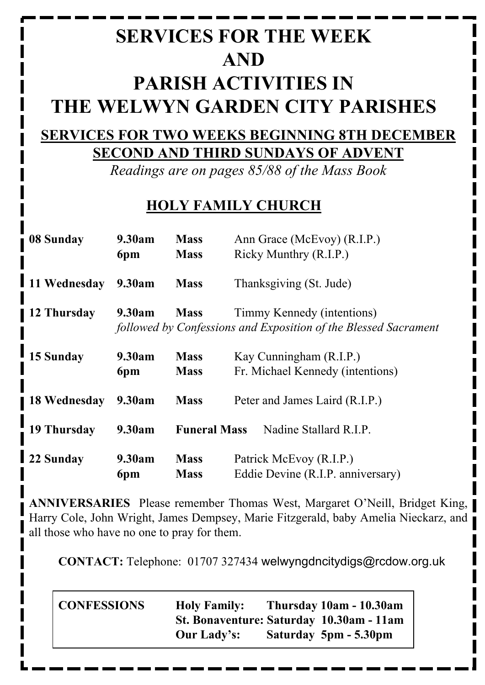# **SERVICES FOR THE WEEK AND PARISH ACTIVITIES IN THE WELWYN GARDEN CITY PARISHES**

## **SERVICES FOR TWO WEEKS BEGINNING 8TH DECEMBER SECOND AND THIRD SUNDAYS OF ADVENT**

*Readings are on pages 85/88 of the Mass Book*

## **HOLY FAMILY CHURCH**

| 08 Sunday    | 9.30am          | <b>Mass</b>                                                     | Ann Grace (McEvoy) (R.I.P.)                                 |  |
|--------------|-----------------|-----------------------------------------------------------------|-------------------------------------------------------------|--|
|              | 6pm             | <b>Mass</b>                                                     | Ricky Munthry (R.I.P.)                                      |  |
| 11 Wednesday | 9.30am          | <b>Mass</b>                                                     | Thanksgiving (St. Jude)                                     |  |
| 12 Thursday  | 9.30am          | <b>Mass</b>                                                     | Timmy Kennedy (intentions)                                  |  |
|              |                 | followed by Confessions and Exposition of the Blessed Sacrament |                                                             |  |
|              |                 |                                                                 |                                                             |  |
| 15 Sunday    | 9.30am          | <b>Mass</b>                                                     | Kay Cunningham (R.I.P.)<br>Fr. Michael Kennedy (intentions) |  |
|              | 6pm             | <b>Mass</b>                                                     |                                                             |  |
| 18 Wednesday | 9.30am          | <b>Mass</b>                                                     | Peter and James Laird (R.I.P.)                              |  |
| 19 Thursday  | 9.30am          | <b>Funeral Mass</b>                                             | Nadine Stallard R.I.P.                                      |  |
| 22 Sunday    | 9.30am          | <b>Mass</b>                                                     | Patrick McEvoy (R.I.P.)                                     |  |
|              | 6 <sub>pm</sub> | <b>Mass</b>                                                     | Eddie Devine (R.I.P. anniversary)                           |  |

**ANNIVERSARIES** Please remember Thomas West, Margaret O'Neill, Bridget King, Harry Cole, John Wright, James Dempsey, Marie Fitzgerald, baby Amelia Nieckarz, and all those who have no one to pray for them.

**CONTACT:** Telephone: 01707 327434 welwyngdncitydigs@rcdow.org.uk

**CONFESSIONS Holy Family: Thursday 10am - 10.30am St. Bonaventure: Saturday 10.30am - 11am Our Lady's: Saturday 5pm - 5.30pm**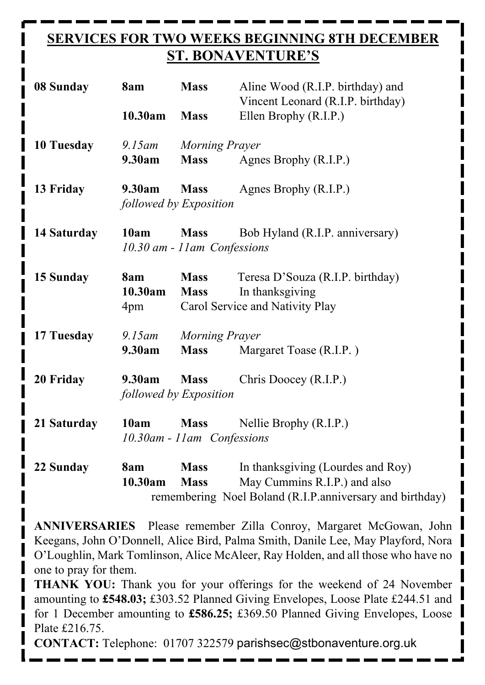## **SERVICES FOR TWO WEEKS BEGINNING 8TH DECEMBER ST. BONAVENTURE'S**

| 08 Sunday         | 8am                              | <b>Mass</b>                                 | Aline Wood (R.I.P. birthday) and<br>Vincent Leonard (R.I.P. birthday)                  |  |
|-------------------|----------------------------------|---------------------------------------------|----------------------------------------------------------------------------------------|--|
|                   | 10.30am                          | <b>Mass</b>                                 | Ellen Brophy (R.I.P.)                                                                  |  |
| <b>10 Tuesday</b> | $9.15$ am<br>9.30am              | Morning Prayer<br><b>Mass</b>               | Agnes Brophy (R.I.P.)                                                                  |  |
| 13 Friday         | 9.30am<br>followed by Exposition |                                             | <b>Mass</b> Agnes Brophy (R.I.P.)                                                      |  |
| 14 Saturday       | 10am                             | <b>Mass</b><br>10.30 am - 11 am Confessions | Bob Hyland (R.I.P. anniversary)                                                        |  |
| 15 Sunday         | 8am<br>10.30am<br>4pm            | <b>Mass</b><br><b>Mass</b>                  | Teresa D'Souza (R.I.P. birthday)<br>In thanksgiving<br>Carol Service and Nativity Play |  |
| 17 Tuesday        | $9.15$ am<br>9.30am              | Morning Prayer<br><b>Mass</b>               | Margaret Toase (R.I.P.)                                                                |  |
| 20 Friday         | 9.30am<br>followed by Exposition | <b>Mass</b>                                 | Chris Doocey (R.I.P.)                                                                  |  |
| 21 Saturday       | 10am                             | <b>Mass</b><br>10.30am - 11am Confessions   | Nellie Brophy (R.I.P.)                                                                 |  |
| 22 Sunday         | 8am<br>10.30am                   | <b>Mass</b><br><b>Mass</b>                  | In thanksgiving (Lourdes and Roy)<br>May Cummins R.I.P.) and also                      |  |

remembering Noel Boland (R.I.P.anniversary and birthday)

**ANNIVERSARIES** Please remember Zilla Conroy, Margaret McGowan, John Keegans, John O'Donnell, Alice Bird, Palma Smith, Danile Lee, May Playford, Nora O'Loughlin, Mark Tomlinson, Alice McAleer, Ray Holden, and all those who have no one to pray for them.

**THANK YOU:** Thank you for your offerings for the weekend of 24 November amounting to **£548.03;** £303.52 Planned Giving Envelopes, Loose Plate £244.51 and for 1 December amounting to **£586.25;** £369.50 Planned Giving Envelopes, Loose Plate £216.75.

**CONTACT:** Telephone: 01707 322579 parishsec@stbonaventure.org.uk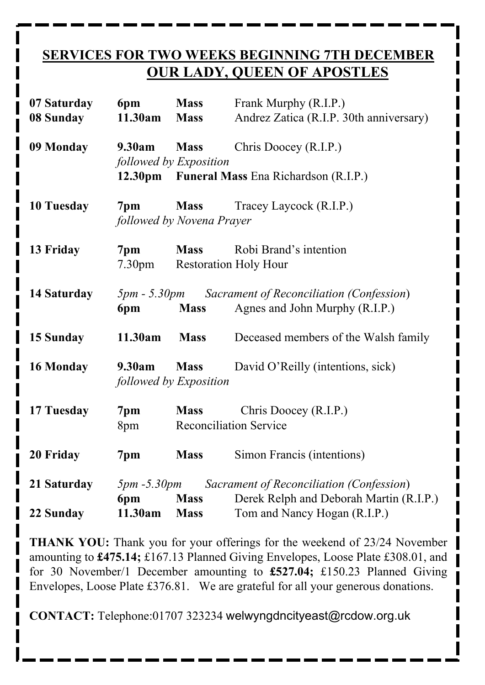#### **SERVICES FOR TWO WEEKS BEGINNING 7TH DECEMBER OUR LADY, QUEEN OF APOSTLES**

| 07 Saturday<br>08 Sunday | 6pm<br>11.30am            | <b>Mass</b><br><b>Mass</b>                   | Frank Murphy (R.I.P.)<br>Andrez Zatica (R.I.P. 30th anniversary)                               |
|--------------------------|---------------------------|----------------------------------------------|------------------------------------------------------------------------------------------------|
| 09 Monday                | 9.30am                    | <b>Mass</b><br>followed by Exposition        | Chris Doocey (R.I.P.)                                                                          |
|                          |                           |                                              | 12.30pm Funeral Mass Ena Richardson (R.I.P.)                                                   |
| 10 Tuesday               | 7pm                       | followed by Novena Prayer                    | <b>Mass</b> Tracey Laycock (R.I.P.)                                                            |
| 13 Friday                | 7pm<br>7.30 <sub>pm</sub> | <b>Mass</b>                                  | Robi Brand's intention<br><b>Restoration Holy Hour</b>                                         |
| 14 Saturday              | 6pm                       | <b>Mass</b>                                  | <b>5pm - 5.30pm</b> Sacrament of Reconciliation (Confession)<br>Agnes and John Murphy (R.I.P.) |
| 15 Sunday                | 11.30am                   | <b>Mass</b>                                  | Deceased members of the Walsh family                                                           |
| 16 Monday                | 9.30am                    | <b>Mass</b><br>followed by Exposition        | David O'Reilly (intentions, sick)                                                              |
| 17 Tuesday               | 7 <sub>pm</sub><br>8pm    | <b>Mass</b><br><b>Reconciliation Service</b> | Chris Doocey (R.I.P.)                                                                          |
| 20 Friday                | 7pm                       | <b>Mass</b>                                  | Simon Francis (intentions)                                                                     |
| 21 Saturday              | $5pm - 5.30pm$            |                                              | Sacrament of Reconciliation (Confession)                                                       |
| 22 Sunday                | 6pm<br>11.30am            | <b>Mass</b><br><b>Mass</b>                   | Derek Relph and Deborah Martin (R.I.P.)<br>Tom and Nancy Hogan (R.I.P.)                        |

**THANK YOU:** Thank you for your offerings for the weekend of 23/24 November amounting to **£475.14;** £167.13 Planned Giving Envelopes, Loose Plate £308.01, and for 30 November/1 December amounting to **£527.04;** £150.23 Planned Giving Envelopes, Loose Plate £376.81. We are grateful for all your generous donations.

**CONTACT:** Telephone:01707 323234 welwyngdncityeast@rcdow.org.uk